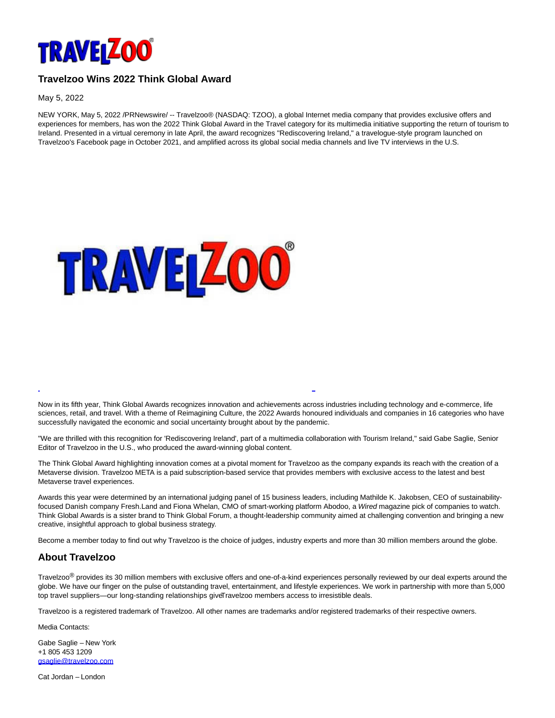

## **Travelzoo Wins 2022 Think Global Award**

May 5, 2022

NEW YORK, May 5, 2022 /PRNewswire/ -- Travelzoo® (NASDAQ: TZOO), a global Internet media company that provides exclusive offers and experiences for members, has won the 2022 Think Global Award in the Travel category for its multimedia initiative supporting the return of tourism to Ireland. Presented in a virtual ceremony in late April, the award recognizes "Rediscovering Ireland," a travelogue-style program launched on Travelzoo's Facebook page in October 2021, and amplified across its global social media channels and live TV interviews in the U.S.



Now in its fifth year, Think Global Awards recognizes innovation and achievements across industries including technology and e-commerce, life sciences, retail, and travel. With a theme of Reimagining Culture, the 2022 Awards honoured individuals and companies in 16 categories who have successfully navigated the economic and social uncertainty brought about by the pandemic.

L

"We are thrilled with this recognition for 'Rediscovering Ireland', part of a multimedia collaboration with Tourism Ireland," said Gabe Saglie, Senior Editor of Travelzoo in the U.S., who produced the award-winning global content.

The Think Global Award highlighting innovation comes at a pivotal moment for Travelzoo as the company expands its reach with the creation of a Metaverse division. Travelzoo META is a paid subscription-based service that provides members with exclusive access to the latest and best Metaverse travel experiences.

Awards this year were determined by an international judging panel of 15 business leaders, including Mathilde K. Jakobsen, CEO of sustainabilityfocused Danish company Fresh.Land and Fiona Whelan, CMO of smart-working platform Abodoo, a Wired magazine pick of companies to watch. Think Global Awards is a sister brand to Think Global Forum, a thought-leadership community aimed at challenging convention and bringing a new creative, insightful approach to global business strategy.

Become a member today to find out why Travelzoo is the choice of judges, industry experts and more than 30 million members around the globe.

## **About Travelzoo**

Travelzoo<sup>®</sup> provides its 30 million members with exclusive offers and one-of-a-kind experiences personally reviewed by our deal experts around the globe. We have our finger on the pulse of outstanding travel, entertainment, and lifestyle experiences. We work in partnership with more than 5,000 top travel suppliers—our long-standing relationships give Travelzoo members access to irresistible deals.

Travelzoo is a registered trademark of Travelzoo. All other names are trademarks and/or registered trademarks of their respective owners.

Media Contacts:

Gabe Saglie – New York +1 805 453 1209 [gsaglie@travelzoo.com](mailto:gsaglie@travelzoo.com)

Cat Jordan – London